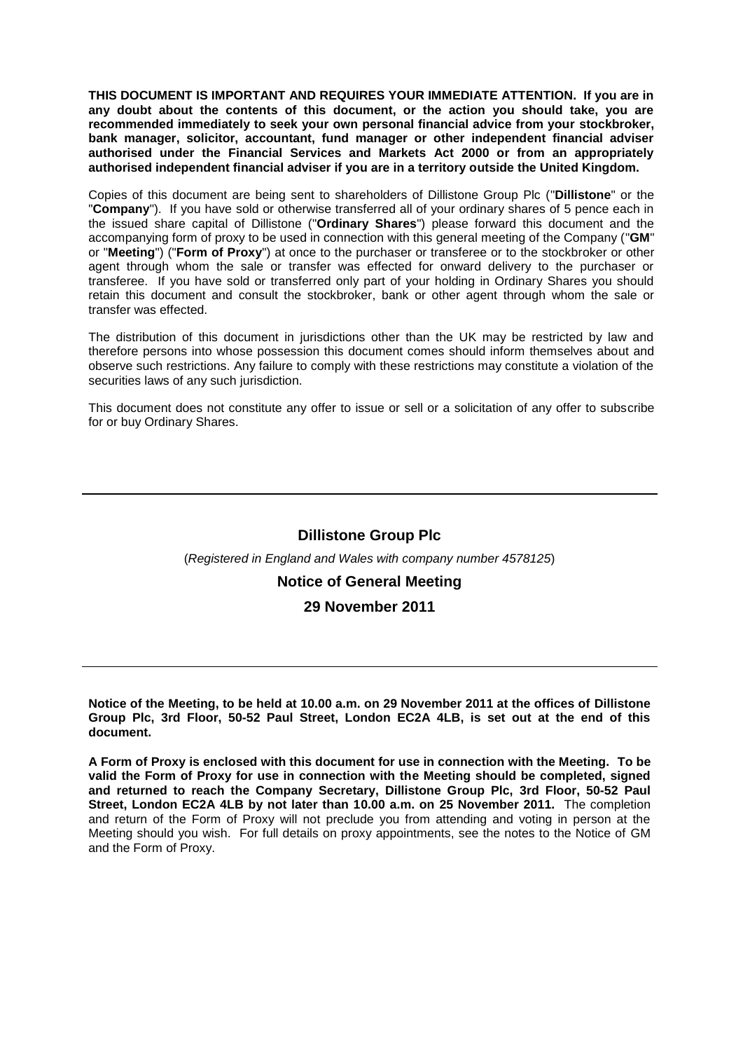**THIS DOCUMENT IS IMPORTANT AND REQUIRES YOUR IMMEDIATE ATTENTION. If you are in any doubt about the contents of this document, or the action you should take, you are recommended immediately to seek your own personal financial advice from your stockbroker, bank manager, solicitor, accountant, fund manager or other independent financial adviser authorised under the Financial Services and Markets Act 2000 or from an appropriately authorised independent financial adviser if you are in a territory outside the United Kingdom.**

Copies of this document are being sent to shareholders of Dillistone Group Plc ("**Dillistone**" or the "**Company**"). If you have sold or otherwise transferred all of your ordinary shares of 5 pence each in the issued share capital of Dillistone ("**Ordinary Shares**") please forward this document and the accompanying form of proxy to be used in connection with this general meeting of the Company ("**GM**" or "**Meeting**") ("**Form of Proxy**") at once to the purchaser or transferee or to the stockbroker or other agent through whom the sale or transfer was effected for onward delivery to the purchaser or transferee. If you have sold or transferred only part of your holding in Ordinary Shares you should retain this document and consult the stockbroker, bank or other agent through whom the sale or transfer was effected.

The distribution of this document in jurisdictions other than the UK may be restricted by law and therefore persons into whose possession this document comes should inform themselves about and observe such restrictions. Any failure to comply with these restrictions may constitute a violation of the securities laws of any such jurisdiction.

This document does not constitute any offer to issue or sell or a solicitation of any offer to subscribe for or buy Ordinary Shares.

## **Dillistone Group Plc**

### (*Registered in England and Wales with company number 4578125*)

## **Notice of General Meeting**

## **29 November 2011**

**Notice of the Meeting, to be held at 10.00 a.m. on 29 November 2011 at the offices of Dillistone Group Plc, 3rd Floor, 50-52 Paul Street, London EC2A 4LB, is set out at the end of this document.**

**A Form of Proxy is enclosed with this document for use in connection with the Meeting. To be valid the Form of Proxy for use in connection with the Meeting should be completed, signed and returned to reach the Company Secretary, Dillistone Group Plc, 3rd Floor, 50-52 Paul Street, London EC2A 4LB by not later than 10.00 a.m. on 25 November 2011.** The completion and return of the Form of Proxy will not preclude you from attending and voting in person at the Meeting should you wish. For full details on proxy appointments, see the notes to the Notice of GM and the Form of Proxy.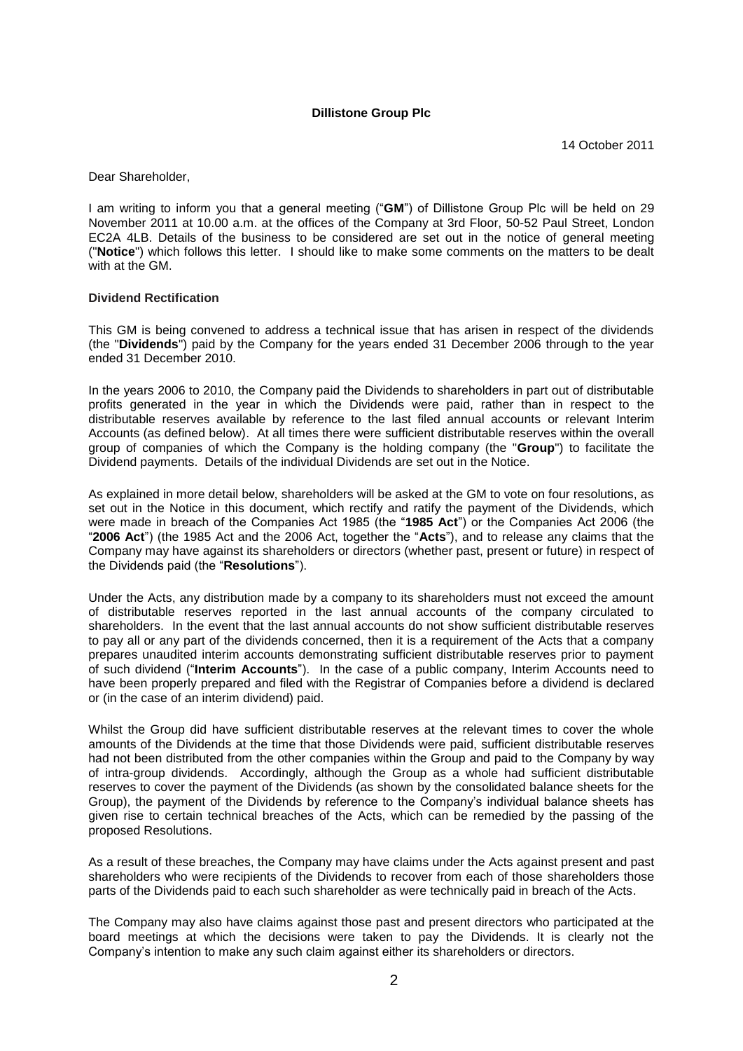### **Dillistone Group Plc**

Dear Shareholder,

I am writing to inform you that a general meeting ("**GM**") of Dillistone Group Plc will be held on 29 November 2011 at 10.00 a.m. at the offices of the Company at 3rd Floor, 50-52 Paul Street, London EC2A 4LB. Details of the business to be considered are set out in the notice of general meeting ("**Notice**") which follows this letter. I should like to make some comments on the matters to be dealt with at the GM.

### **Dividend Rectification**

This GM is being convened to address a technical issue that has arisen in respect of the dividends (the "**Dividends**") paid by the Company for the years ended 31 December 2006 through to the year ended 31 December 2010.

In the years 2006 to 2010, the Company paid the Dividends to shareholders in part out of distributable profits generated in the year in which the Dividends were paid, rather than in respect to the distributable reserves available by reference to the last filed annual accounts or relevant Interim Accounts (as defined below). At all times there were sufficient distributable reserves within the overall group of companies of which the Company is the holding company (the "**Group**") to facilitate the Dividend payments. Details of the individual Dividends are set out in the Notice.

As explained in more detail below, shareholders will be asked at the GM to vote on four resolutions, as set out in the Notice in this document, which rectify and ratify the payment of the Dividends, which were made in breach of the Companies Act 1985 (the "**1985 Act**") or the Companies Act 2006 (the "**2006 Act**") (the 1985 Act and the 2006 Act, together the "**Acts**"), and to release any claims that the Company may have against its shareholders or directors (whether past, present or future) in respect of the Dividends paid (the "**Resolutions**").

Under the Acts, any distribution made by a company to its shareholders must not exceed the amount of distributable reserves reported in the last annual accounts of the company circulated to shareholders. In the event that the last annual accounts do not show sufficient distributable reserves to pay all or any part of the dividends concerned, then it is a requirement of the Acts that a company prepares unaudited interim accounts demonstrating sufficient distributable reserves prior to payment of such dividend ("**Interim Accounts**"). In the case of a public company, Interim Accounts need to have been properly prepared and filed with the Registrar of Companies before a dividend is declared or (in the case of an interim dividend) paid.

Whilst the Group did have sufficient distributable reserves at the relevant times to cover the whole amounts of the Dividends at the time that those Dividends were paid, sufficient distributable reserves had not been distributed from the other companies within the Group and paid to the Company by way of intra-group dividends. Accordingly, although the Group as a whole had sufficient distributable reserves to cover the payment of the Dividends (as shown by the consolidated balance sheets for the Group), the payment of the Dividends by reference to the Company's individual balance sheets has given rise to certain technical breaches of the Acts, which can be remedied by the passing of the proposed Resolutions.

As a result of these breaches, the Company may have claims under the Acts against present and past shareholders who were recipients of the Dividends to recover from each of those shareholders those parts of the Dividends paid to each such shareholder as were technically paid in breach of the Acts.

The Company may also have claims against those past and present directors who participated at the board meetings at which the decisions were taken to pay the Dividends. It is clearly not the Company's intention to make any such claim against either its shareholders or directors.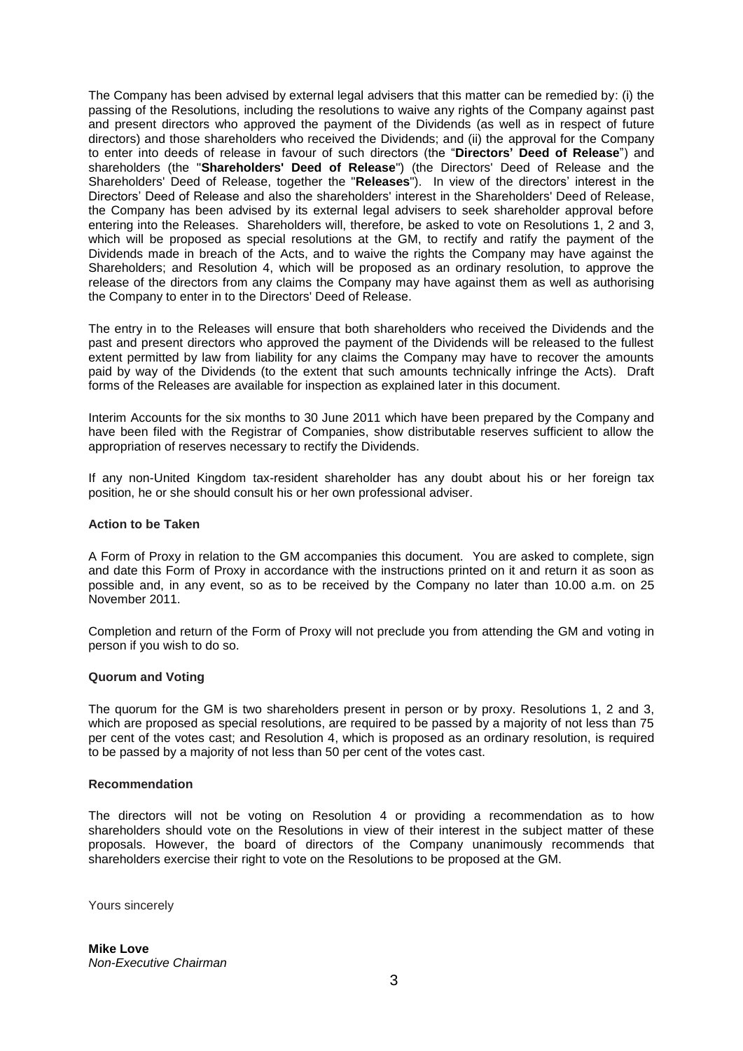The Company has been advised by external legal advisers that this matter can be remedied by: (i) the passing of the Resolutions, including the resolutions to waive any rights of the Company against past and present directors who approved the payment of the Dividends (as well as in respect of future directors) and those shareholders who received the Dividends; and (ii) the approval for the Company to enter into deeds of release in favour of such directors (the "**Directors' Deed of Release**") and shareholders (the "**Shareholders' Deed of Release**") (the Directors' Deed of Release and the Shareholders' Deed of Release, together the "**Releases**"). In view of the directors' interest in the Directors' Deed of Release and also the shareholders' interest in the Shareholders' Deed of Release, the Company has been advised by its external legal advisers to seek shareholder approval before entering into the Releases. Shareholders will, therefore, be asked to vote on Resolutions 1, 2 and 3, which will be proposed as special resolutions at the GM, to rectify and ratify the payment of the Dividends made in breach of the Acts, and to waive the rights the Company may have against the Shareholders; and Resolution 4, which will be proposed as an ordinary resolution, to approve the release of the directors from any claims the Company may have against them as well as authorising the Company to enter in to the Directors' Deed of Release.

The entry in to the Releases will ensure that both shareholders who received the Dividends and the past and present directors who approved the payment of the Dividends will be released to the fullest extent permitted by law from liability for any claims the Company may have to recover the amounts paid by way of the Dividends (to the extent that such amounts technically infringe the Acts). Draft forms of the Releases are available for inspection as explained later in this document.

Interim Accounts for the six months to 30 June 2011 which have been prepared by the Company and have been filed with the Registrar of Companies, show distributable reserves sufficient to allow the appropriation of reserves necessary to rectify the Dividends.

If any non-United Kingdom tax-resident shareholder has any doubt about his or her foreign tax position, he or she should consult his or her own professional adviser.

### **Action to be Taken**

A Form of Proxy in relation to the GM accompanies this document. You are asked to complete, sign and date this Form of Proxy in accordance with the instructions printed on it and return it as soon as possible and, in any event, so as to be received by the Company no later than 10.00 a.m. on 25 November 2011.

Completion and return of the Form of Proxy will not preclude you from attending the GM and voting in person if you wish to do so.

### **Quorum and Voting**

The quorum for the GM is two shareholders present in person or by proxy. Resolutions 1, 2 and 3, which are proposed as special resolutions, are required to be passed by a majority of not less than 75 per cent of the votes cast; and Resolution 4, which is proposed as an ordinary resolution, is required to be passed by a majority of not less than 50 per cent of the votes cast.

#### **Recommendation**

The directors will not be voting on Resolution 4 or providing a recommendation as to how shareholders should vote on the Resolutions in view of their interest in the subject matter of these proposals. However, the board of directors of the Company unanimously recommends that shareholders exercise their right to vote on the Resolutions to be proposed at the GM.

Yours sincerely

**Mike Love** *Non-Executive Chairman*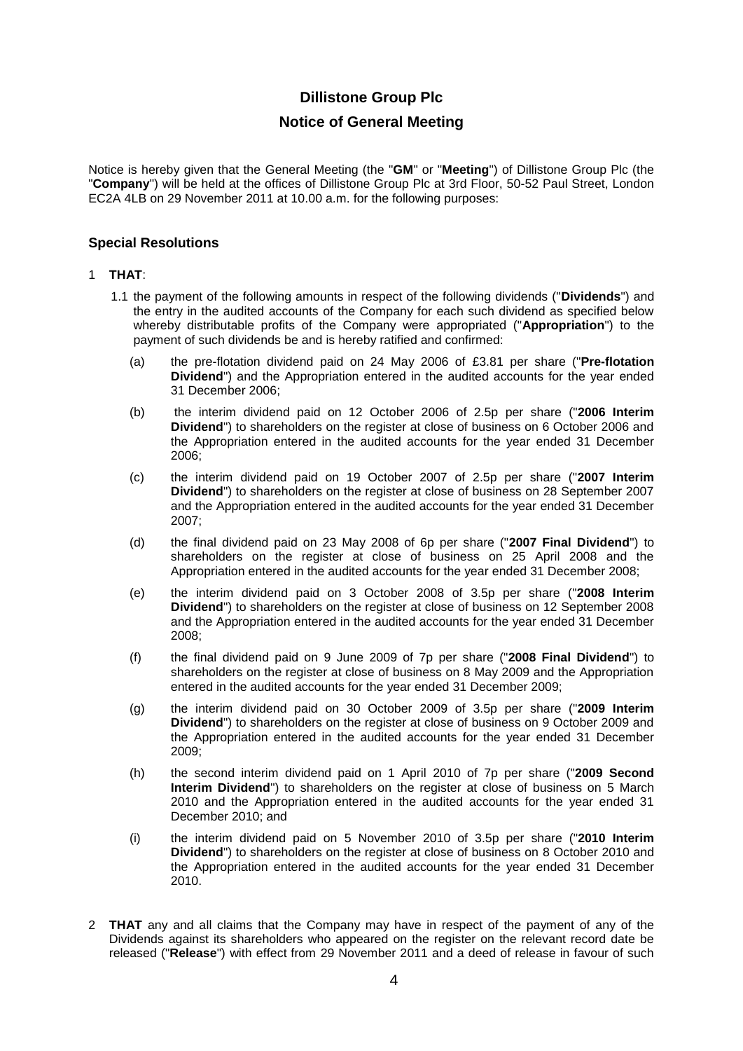# **Dillistone Group Plc**

## **Notice of General Meeting**

Notice is hereby given that the General Meeting (the "**GM**" or "**Meeting**") of Dillistone Group Plc (the "**Company**") will be held at the offices of Dillistone Group Plc at 3rd Floor, 50-52 Paul Street, London EC2A 4LB on 29 November 2011 at 10.00 a.m. for the following purposes:

## **Special Resolutions**

## 1 **THAT**:

- 1.1 the payment of the following amounts in respect of the following dividends ("**Dividends**") and the entry in the audited accounts of the Company for each such dividend as specified below whereby distributable profits of the Company were appropriated ("**Appropriation**") to the payment of such dividends be and is hereby ratified and confirmed:
	- (a) the pre-flotation dividend paid on 24 May 2006 of £3.81 per share ("**Pre-flotation Dividend**") and the Appropriation entered in the audited accounts for the year ended 31 December 2006;
	- (b) the interim dividend paid on 12 October 2006 of 2.5p per share ("**2006 Interim Dividend**") to shareholders on the register at close of business on 6 October 2006 and the Appropriation entered in the audited accounts for the year ended 31 December 2006;
	- (c) the interim dividend paid on 19 October 2007 of 2.5p per share ("**2007 Interim Dividend**") to shareholders on the register at close of business on 28 September 2007 and the Appropriation entered in the audited accounts for the year ended 31 December 2007;
	- (d) the final dividend paid on 23 May 2008 of 6p per share ("**2007 Final Dividend**") to shareholders on the register at close of business on 25 April 2008 and the Appropriation entered in the audited accounts for the year ended 31 December 2008;
	- (e) the interim dividend paid on 3 October 2008 of 3.5p per share ("**2008 Interim Dividend**") to shareholders on the register at close of business on 12 September 2008 and the Appropriation entered in the audited accounts for the year ended 31 December 2008;
	- (f) the final dividend paid on 9 June 2009 of 7p per share ("**2008 Final Dividend**") to shareholders on the register at close of business on 8 May 2009 and the Appropriation entered in the audited accounts for the year ended 31 December 2009;
	- (g) the interim dividend paid on 30 October 2009 of 3.5p per share ("**2009 Interim Dividend**") to shareholders on the register at close of business on 9 October 2009 and the Appropriation entered in the audited accounts for the year ended 31 December 2009;
	- (h) the second interim dividend paid on 1 April 2010 of 7p per share ("**2009 Second Interim Dividend**") to shareholders on the register at close of business on 5 March 2010 and the Appropriation entered in the audited accounts for the year ended 31 December 2010; and
	- (i) the interim dividend paid on 5 November 2010 of 3.5p per share ("**2010 Interim Dividend**") to shareholders on the register at close of business on 8 October 2010 and the Appropriation entered in the audited accounts for the year ended 31 December 2010.
- 2 **THAT** any and all claims that the Company may have in respect of the payment of any of the Dividends against its shareholders who appeared on the register on the relevant record date be released ("**Release**") with effect from 29 November 2011 and a deed of release in favour of such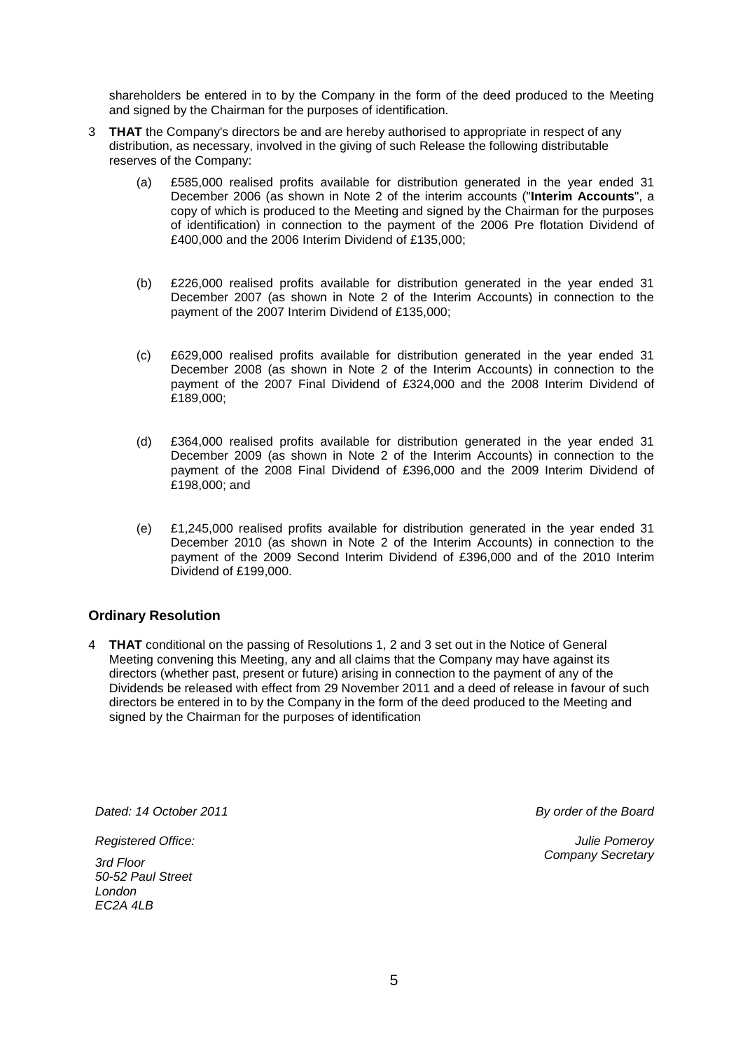shareholders be entered in to by the Company in the form of the deed produced to the Meeting and signed by the Chairman for the purposes of identification.

- 3 **THAT** the Company's directors be and are hereby authorised to appropriate in respect of any distribution, as necessary, involved in the giving of such Release the following distributable reserves of the Company:
	- (a) £585,000 realised profits available for distribution generated in the year ended 31 December 2006 (as shown in Note 2 of the interim accounts ("**Interim Accounts**", a copy of which is produced to the Meeting and signed by the Chairman for the purposes of identification) in connection to the payment of the 2006 Pre flotation Dividend of £400,000 and the 2006 Interim Dividend of £135,000;
	- (b) £226,000 realised profits available for distribution generated in the year ended 31 December 2007 (as shown in Note 2 of the Interim Accounts) in connection to the payment of the 2007 Interim Dividend of £135,000;
	- (c) £629,000 realised profits available for distribution generated in the year ended 31 December 2008 (as shown in Note 2 of the Interim Accounts) in connection to the payment of the 2007 Final Dividend of £324,000 and the 2008 Interim Dividend of £189,000;
	- (d) £364,000 realised profits available for distribution generated in the year ended 31 December 2009 (as shown in Note 2 of the Interim Accounts) in connection to the payment of the 2008 Final Dividend of £396,000 and the 2009 Interim Dividend of £198,000; and
	- (e) £1,245,000 realised profits available for distribution generated in the year ended 31 December 2010 (as shown in Note 2 of the Interim Accounts) in connection to the payment of the 2009 Second Interim Dividend of £396,000 and of the 2010 Interim Dividend of £199,000.

## **Ordinary Resolution**

4 **THAT** conditional on the passing of Resolutions 1, 2 and 3 set out in the Notice of General Meeting convening this Meeting, any and all claims that the Company may have against its directors (whether past, present or future) arising in connection to the payment of any of the Dividends be released with effect from 29 November 2011 and a deed of release in favour of such directors be entered in to by the Company in the form of the deed produced to the Meeting and signed by the Chairman for the purposes of identification

*Dated: 14 October 2011 By order of the Board*

*Registered Office:* 

*3rd Floor 50-52 Paul Street London EC2A 4LB*

*Julie Pomeroy Company Secretary*